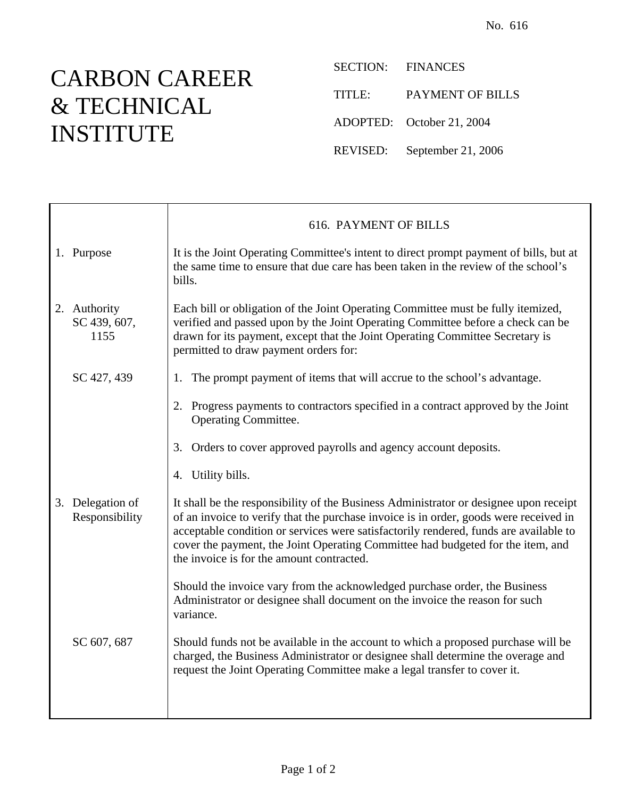## CARBON CAREER & TECHNICAL INSTITUTE

SECTION: FINANCES TITLE: PAYMENT OF BILLS ADOPTED: October 21, 2004 REVISED: September 21, 2006

|                                      | <b>616. PAYMENT OF BILLS</b>                                                                                                                                                                                                                                                                                                                                                                            |
|--------------------------------------|---------------------------------------------------------------------------------------------------------------------------------------------------------------------------------------------------------------------------------------------------------------------------------------------------------------------------------------------------------------------------------------------------------|
| 1. Purpose                           | It is the Joint Operating Committee's intent to direct prompt payment of bills, but at<br>the same time to ensure that due care has been taken in the review of the school's<br>bills.                                                                                                                                                                                                                  |
| 2. Authority<br>SC 439, 607,<br>1155 | Each bill or obligation of the Joint Operating Committee must be fully itemized,<br>verified and passed upon by the Joint Operating Committee before a check can be<br>drawn for its payment, except that the Joint Operating Committee Secretary is<br>permitted to draw payment orders for:                                                                                                           |
| SC 427, 439                          | The prompt payment of items that will accrue to the school's advantage.<br>1.                                                                                                                                                                                                                                                                                                                           |
|                                      | 2. Progress payments to contractors specified in a contract approved by the Joint<br>Operating Committee.                                                                                                                                                                                                                                                                                               |
|                                      | Orders to cover approved payrolls and agency account deposits.<br>3.                                                                                                                                                                                                                                                                                                                                    |
|                                      | 4. Utility bills.                                                                                                                                                                                                                                                                                                                                                                                       |
| 3. Delegation of<br>Responsibility   | It shall be the responsibility of the Business Administrator or designee upon receipt<br>of an invoice to verify that the purchase invoice is in order, goods were received in<br>acceptable condition or services were satisfactorily rendered, funds are available to<br>cover the payment, the Joint Operating Committee had budgeted for the item, and<br>the invoice is for the amount contracted. |
|                                      | Should the invoice vary from the acknowledged purchase order, the Business<br>Administrator or designee shall document on the invoice the reason for such<br>variance.                                                                                                                                                                                                                                  |
| SC 607, 687                          | Should funds not be available in the account to which a proposed purchase will be<br>charged, the Business Administrator or designee shall determine the overage and<br>request the Joint Operating Committee make a legal transfer to cover it.                                                                                                                                                        |
|                                      |                                                                                                                                                                                                                                                                                                                                                                                                         |